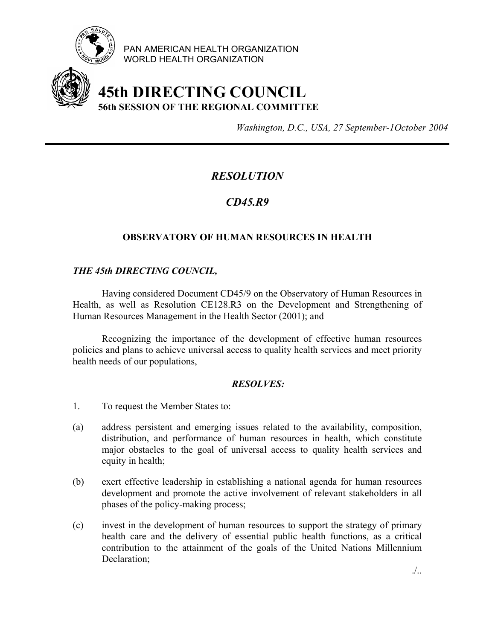

PAN AMERICAN HEALTH ORGANIZATION WORLD HEALTH ORGANIZATION

# **45th DIRECTING COUNCIL 56th SESSION OF THE REGIONAL COMMITTEE**

*Washington, D.C., USA, 27 September-1October 2004*

# *RESOLUTION*

# *CD45.R9*

## **OBSERVATORY OF HUMAN RESOURCES IN HEALTH**

### *THE 45th DIRECTING COUNCIL,*

Having considered Document CD45/9 on the Observatory of Human Resources in Health, as well as Resolution CE128.R3 on the Development and Strengthening of Human Resources Management in the Health Sector (2001); and

Recognizing the importance of the development of effective human resources policies and plans to achieve universal access to quality health services and meet priority health needs of our populations,

### *RESOLVES:*

- 1. To request the Member States to:
- (a) address persistent and emerging issues related to the availability, composition, distribution, and performance of human resources in health, which constitute major obstacles to the goal of universal access to quality health services and equity in health;
- (b) exert effective leadership in establishing a national agenda for human resources development and promote the active involvement of relevant stakeholders in all phases of the policy-making process;
- (c) invest in the development of human resources to support the strategy of primary health care and the delivery of essential public health functions, as a critical contribution to the attainment of the goals of the United Nations Millennium Declaration;